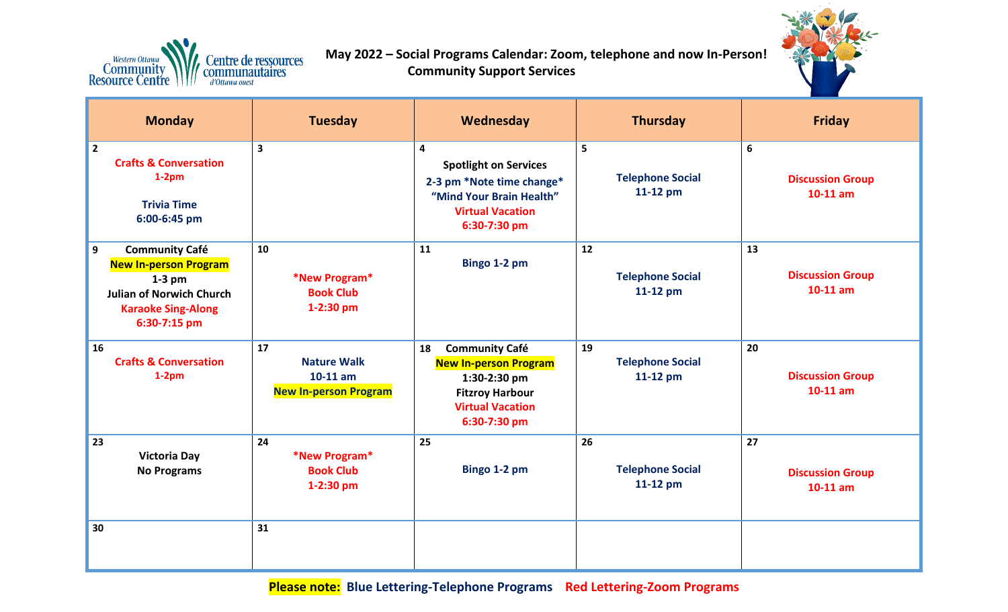

 **May 2022 – Social Programs Calendar: Zoom, telephone and now In-Person! Community Support Services**



| <b>Monday</b>                                                                                                                                          | <b>Tuesday</b>                                                         | Wednesday                                                                                                                                        | <b>Thursday</b>                           | <b>Friday</b>                               |
|--------------------------------------------------------------------------------------------------------------------------------------------------------|------------------------------------------------------------------------|--------------------------------------------------------------------------------------------------------------------------------------------------|-------------------------------------------|---------------------------------------------|
| $\overline{2}$<br><b>Crafts &amp; Conversation</b><br>$1-2pm$<br><b>Trivia Time</b><br>6:00-6:45 pm                                                    | $\overline{\mathbf{3}}$                                                | 4<br><b>Spotlight on Services</b><br>2-3 pm *Note time change*<br>"Mind Your Brain Health"<br><b>Virtual Vacation</b><br>6:30-7:30 pm            | 5<br><b>Telephone Social</b><br>11-12 pm  | 6<br><b>Discussion Group</b><br>$10-11$ am  |
| 9<br><b>Community Café</b><br><b>New In-person Program</b><br>$1-3$ pm<br><b>Julian of Norwich Church</b><br><b>Karaoke Sing-Along</b><br>6:30-7:15 pm | 10<br>*New Program*<br><b>Book Club</b><br>1-2:30 pm                   | 11<br>Bingo 1-2 pm                                                                                                                               | 12<br><b>Telephone Social</b><br>11-12 pm | 13<br><b>Discussion Group</b><br>$10-11$ am |
| 16<br><b>Crafts &amp; Conversation</b><br>$1-2pm$                                                                                                      | 17<br><b>Nature Walk</b><br>$10-11$ am<br><b>New In-person Program</b> | <b>Community Café</b><br>18<br><b>New In-person Program</b><br>1:30-2:30 pm<br><b>Fitzroy Harbour</b><br><b>Virtual Vacation</b><br>6:30-7:30 pm | 19<br><b>Telephone Social</b><br>11-12 pm | 20<br><b>Discussion Group</b><br>$10-11$ am |
| 23<br><b>Victoria Day</b><br><b>No Programs</b>                                                                                                        | 24<br>*New Program*<br><b>Book Club</b><br>1-2:30 pm                   | 25<br>Bingo 1-2 pm                                                                                                                               | 26<br><b>Telephone Social</b><br>11-12 pm | 27<br><b>Discussion Group</b><br>$10-11$ am |
| 30                                                                                                                                                     | 31                                                                     |                                                                                                                                                  |                                           |                                             |

**Please note: Blue Lettering-Telephone Programs Red Lettering-Zoom Programs**